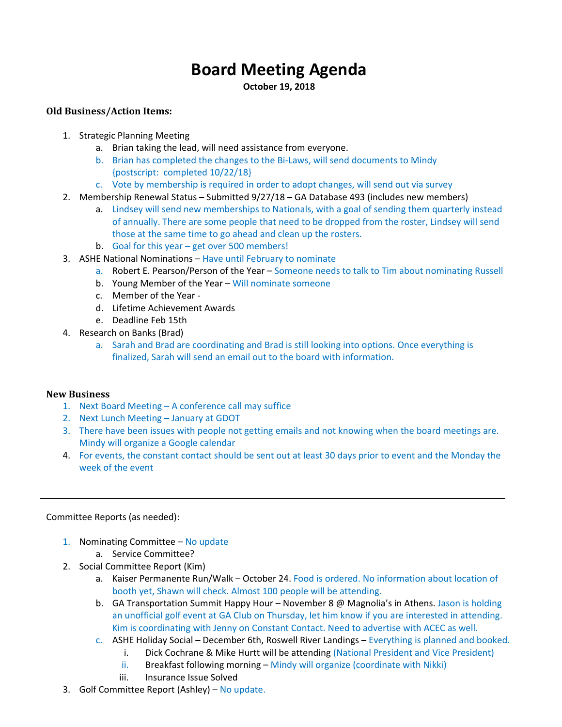# **Board Meeting Agenda**

**October 19, 2018** 

## **Old Business/Action Items:**

- 1. Strategic Planning Meeting
	- a. Brian taking the lead, will need assistance from everyone.
	- b. Brian has completed the changes to the Bi‐Laws, will send documents to Mindy {postscript: completed 10/22/18}
	- c. Vote by membership is required in order to adopt changes, will send out via survey
- 2. Membership Renewal Status Submitted 9/27/18 GA Database 493 (includes new members)
	- a. Lindsey will send new memberships to Nationals, with a goal of sending them quarterly instead of annually. There are some people that need to be dropped from the roster, Lindsey will send those at the same time to go ahead and clean up the rosters.
	- b. Goal for this year get over 500 members!
- 3. ASHE National Nominations Have until February to nominate
	- a. Robert E. Pearson/Person of the Year Someone needs to talk to Tim about nominating Russell
	- b. Young Member of the Year Will nominate someone
	- c. Member of the Year ‐
	- d. Lifetime Achievement Awards
	- e. Deadline Feb 15th
- 4. Research on Banks (Brad)
	- a. Sarah and Brad are coordinating and Brad is still looking into options. Once everything is finalized, Sarah will send an email out to the board with information.

### **New Business**

- 1. Next Board Meeting A conference call may suffice
- 2. Next Lunch Meeting January at GDOT
- 3. There have been issues with people not getting emails and not knowing when the board meetings are. Mindy will organize a Google calendar
- 4. For events, the constant contact should be sent out at least 30 days prior to event and the Monday the week of the event

### Committee Reports (as needed):

- 1. Nominating Committee No update
	- a. Service Committee?
- 2. Social Committee Report (Kim)
	- a. Kaiser Permanente Run/Walk October 24. Food is ordered. No information about location of booth yet, Shawn will check. Almost 100 people will be attending.
	- b. GA Transportation Summit Happy Hour November 8 @ Magnolia's in Athens. Jason is holding an unofficial golf event at GA Club on Thursday, let him know if you are interested in attending. Kim is coordinating with Jenny on Constant Contact. Need to advertise with ACEC as well.
	- c. ASHE Holiday Social December 6th, Roswell River Landings Everything is planned and booked.
		- i. Dick Cochrane & Mike Hurtt will be attending (National President and Vice President)
		- ii. Breakfast following morning Mindy will organize (coordinate with Nikki)
		- iii. Insurance Issue Solved
- 3. Golf Committee Report (Ashley) No update.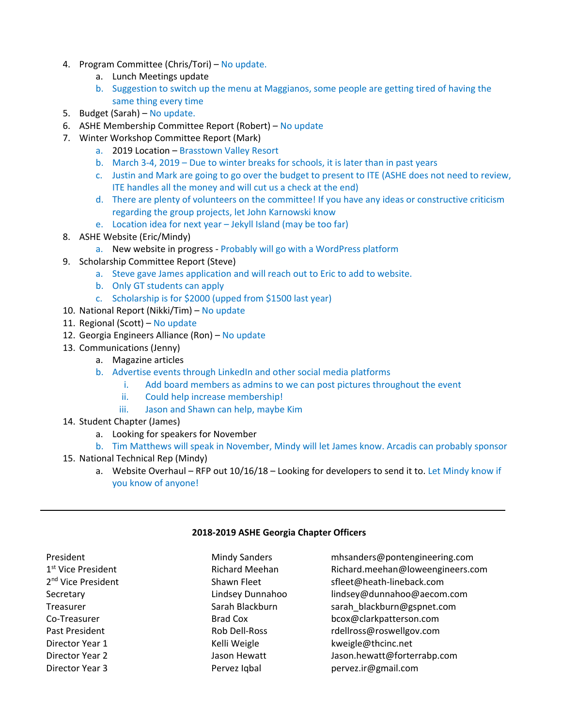- 4. Program Committee (Chris/Tori) No update.
	- a. Lunch Meetings update
	- b. Suggestion to switch up the menu at Maggianos, some people are getting tired of having the same thing every time
- 5. Budget (Sarah) No update.
- 6. ASHE Membership Committee Report (Robert) No update
- 7. Winter Workshop Committee Report (Mark)
	- a. 2019 Location Brasstown Valley Resort
	- b. March 3‐4, 2019 Due to winter breaks for schools, it is later than in past years
	- c. Justin and Mark are going to go over the budget to present to ITE (ASHE does not need to review, ITE handles all the money and will cut us a check at the end)
	- d. There are plenty of volunteers on the committee! If you have any ideas or constructive criticism regarding the group projects, let John Karnowski know
	- e. Location idea for next year Jekyll Island (may be too far)
- 8. ASHE Website (Eric/Mindy)
	- a. New website in progress Probably will go with a WordPress platform
- 9. Scholarship Committee Report (Steve)
	- a. Steve gave James application and will reach out to Eric to add to website.
	- b. Only GT students can apply
	- c. Scholarship is for \$2000 (upped from \$1500 last year)
- 10. National Report (Nikki/Tim) No update
- 11. Regional (Scott) No update
- 12. Georgia Engineers Alliance (Ron) No update
- 13. Communications (Jenny)
	- a. Magazine articles
	- b. Advertise events through LinkedIn and other social media platforms
		- i. Add board members as admins to we can post pictures throughout the event
		- ii. Could help increase membership!
		- iii. Jason and Shawn can help, maybe Kim
- 14. Student Chapter (James)
	- a. Looking for speakers for November
	- b. Tim Matthews will speak in November, Mindy will let James know. Arcadis can probably sponsor
- 15. National Technical Rep (Mindy)
	- a. Website Overhaul RFP out 10/16/18 Looking for developers to send it to. Let Mindy know if you know of anyone!

### **2018‐2019 ASHE Georgia Chapter Officers**

| President                      | <b>Mindy Sanders</b> | mhsanders@pontengineering.com    |
|--------------------------------|----------------------|----------------------------------|
| 1 <sup>st</sup> Vice President | Richard Meehan       | Richard.meehan@loweengineers.com |
| 2 <sup>nd</sup> Vice President | Shawn Fleet          | sfleet@heath-lineback.com        |
| Secretary                      | Lindsey Dunnahoo     | lindsey@dunnahoo@aecom.com       |
| Treasurer                      | Sarah Blackburn      | sarah_blackburn@gspnet.com       |
| Co-Treasurer                   | <b>Brad Cox</b>      | bcox@clarkpatterson.com          |
| Past President                 | Rob Dell-Ross        | rdellross@roswellgov.com         |
| Director Year 1                | Kelli Weigle         | kweigle@thcinc.net               |
| Director Year 2                | Jason Hewatt         | Jason.hewatt@forterrabp.com      |
| Director Year 3                | Pervez Igbal         | pervez.ir@gmail.com              |